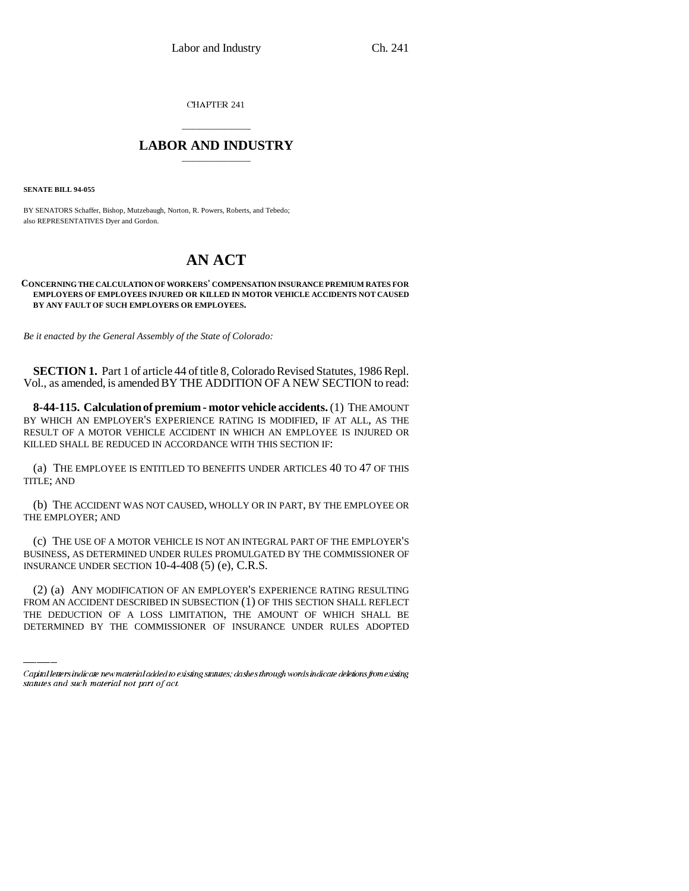CHAPTER 241

## \_\_\_\_\_\_\_\_\_\_\_\_\_\_\_ **LABOR AND INDUSTRY** \_\_\_\_\_\_\_\_\_\_\_\_\_\_\_

**SENATE BILL 94-055**

BY SENATORS Schaffer, Bishop, Mutzebaugh, Norton, R. Powers, Roberts, and Tebedo; also REPRESENTATIVES Dyer and Gordon.

## **AN ACT**

## **CONCERNING THE CALCULATION OF WORKERS' COMPENSATION INSURANCE PREMIUM RATES FOR EMPLOYERS OF EMPLOYEES INJURED OR KILLED IN MOTOR VEHICLE ACCIDENTS NOT CAUSED BY ANY FAULT OF SUCH EMPLOYERS OR EMPLOYEES.**

*Be it enacted by the General Assembly of the State of Colorado:*

**SECTION 1.** Part 1 of article 44 of title 8, Colorado Revised Statutes, 1986 Repl. Vol., as amended, is amended BY THE ADDITION OF A NEW SECTION to read:

**8-44-115. Calculation of premium - motor vehicle accidents.** (1) THE AMOUNT BY WHICH AN EMPLOYER'S EXPERIENCE RATING IS MODIFIED, IF AT ALL, AS THE RESULT OF A MOTOR VEHICLE ACCIDENT IN WHICH AN EMPLOYEE IS INJURED OR KILLED SHALL BE REDUCED IN ACCORDANCE WITH THIS SECTION IF:

(a) THE EMPLOYEE IS ENTITLED TO BENEFITS UNDER ARTICLES 40 TO 47 OF THIS TITLE; AND

(b) THE ACCIDENT WAS NOT CAUSED, WHOLLY OR IN PART, BY THE EMPLOYEE OR THE EMPLOYER; AND

(c) THE USE OF A MOTOR VEHICLE IS NOT AN INTEGRAL PART OF THE EMPLOYER'S BUSINESS, AS DETERMINED UNDER RULES PROMULGATED BY THE COMMISSIONER OF INSURANCE UNDER SECTION 10-4-408 (5) (e), C.R.S.

(2) (a) ANY MODIFICATION OF AN EMPLOYER'S EXPERIENCE RATING RESULTING FROM AN ACCIDENT DESCRIBED IN SUBSECTION (1) OF THIS SECTION SHALL REFLECT THE DEDUCTION OF A LOSS LIMITATION, THE AMOUNT OF WHICH SHALL BE DETERMINED BY THE COMMISSIONER OF INSURANCE UNDER RULES ADOPTED

Capital letters indicate new material added to existing statutes; dashes through words indicate deletions from existing statutes and such material not part of act.